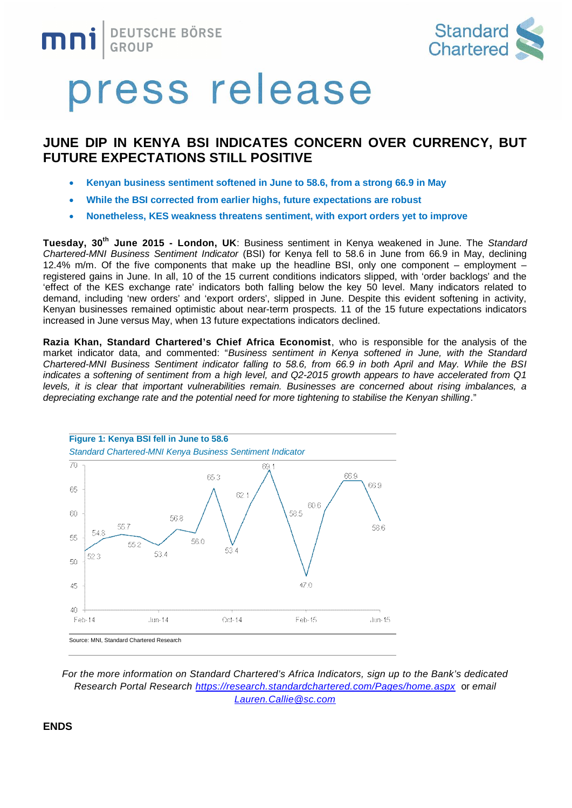



### press release

### **JUNE DIP IN KENYA BSI INDICATES CONCERN OVER CURRENCY, BUT FUTURE EXPECTATIONS STILL POSITIVE**

- · **Kenyan business sentiment softened in June to 58.6, from a strong 66.9 in May**
- · **While the BSI corrected from earlier highs, future expectations are robust**
- · **Nonetheless, KES weakness threatens sentiment, with export orders yet to improve**

**Tuesday, 30th June 2015 - London, UK**: Business sentiment in Kenya weakened in June. The *Standard Chartered-MNI Business Sentiment Indicator* (BSI) for Kenya fell to 58.6 in June from 66.9 in May, declining 12.4% m/m. Of the five components that make up the headline BSI, only one component – employment – registered gains in June. In all, 10 of the 15 current conditions indicators slipped, with 'order backlogs' and the 'effect of the KES exchange rate' indicators both falling below the key 50 level. Many indicators related to demand, including 'new orders' and 'export orders', slipped in June. Despite this evident softening in activity, Kenyan businesses remained optimistic about near-term prospects. 11 of the 15 future expectations indicators increased in June versus May, when 13 future expectations indicators declined.

**Razia Khan, Standard Chartered's Chief Africa Economist**, who is responsible for the analysis of the market indicator data, and commented: "*Business sentiment in Kenya softened in June, with the Standard Chartered-MNI Business Sentiment indicator falling to 58.6, from 66.9 in both April and May. While the BSI indicates a softening of sentiment from a high level, and Q2-2015 growth appears to have accelerated from Q1 levels, it is clear that important vulnerabilities remain. Businesses are concerned about rising imbalances, a depreciating exchange rate and the potential need for more tightening to stabilise the Kenyan shilling*."



*For the more information on Standard Chartered's Africa Indicators, sign up to the Bank's dedicated Research Portal Research <https://research.standardchartered.com/Pages/home.aspx>* or *email [Lauren.Callie@sc.com](mailto:Lauren.Callie@sc.com)*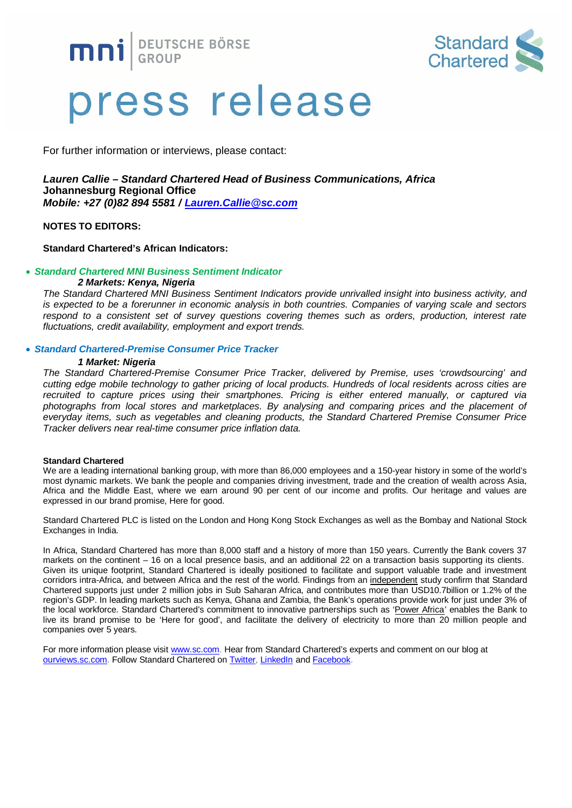**MNI** BEUTSCHE BÖRSE



# press release

For further information or interviews, please contact:

#### *Lauren Callie – Standard Chartered Head of Business Communications, Africa* **Johannesburg Regional Office** *Mobile: +27 (0)82 894 5581 / [Lauren.Callie@sc.com](mailto:Lauren.Callie@sc.com)*

**NOTES TO EDITORS:**

#### **Standard Chartered's African Indicators:**

#### · *Standard Chartered MNI Business Sentiment Indicator*

#### *2 Markets: Kenya, Nigeria*

*The Standard Chartered MNI Business Sentiment Indicators provide unrivalled insight into business activity, and is expected to be a forerunner in economic analysis in both countries. Companies of varying scale and sectors respond to a consistent set of survey questions covering themes such as orders, production, interest rate fluctuations, credit availability, employment and export trends.*

#### · *Standard Chartered-Premise Consumer Price Tracker*

#### *1 Market: Nigeria*

*The Standard Chartered-Premise Consumer Price Tracker, delivered by Premise, uses 'crowdsourcing' and cutting edge mobile technology to gather pricing of local products. Hundreds of local residents across cities are recruited to capture prices using their smartphones. Pricing is either entered manually, or captured via photographs from local stores and marketplaces. By analysing and comparing prices and the placement of everyday items, such as vegetables and cleaning products, the Standard Chartered Premise Consumer Price Tracker delivers near real-time consumer price inflation data.*

#### **Standard Chartered**

We are a leading international banking group, with more than 86,000 employees and a 150-year history in some of the world's most dynamic markets. We bank the people and companies driving investment, trade and the creation of wealth across Asia, Africa and the Middle East, where we earn around 90 per cent of our income and profits. Our heritage and values are expressed in our brand promise, Here for good.

Standard Chartered PLC is listed on the London and Hong Kong Stock Exchanges as well as the Bombay and National Stock Exchanges in India.

In Africa, Standard Chartered has more than 8,000 staff and a history of more than 150 years. Currently the Bank covers 37 markets on the continent – 16 on a local presence basis, and an additional 22 on a transaction basis supporting its clients. Given its unique footprint, Standard Chartered is ideally positioned to facilitate and support valuable trade and investment corridors intra-Africa, and between Africa and the rest of the world. Findings from a[n independent study](https://www.sc.com/en/news-and-media/news/africa/2014-02-18-independent-study-measures-our-impact-in-africa.html) confirm that Standard Chartered supports just under 2 million jobs in Sub Saharan Africa, and contributes more than USD10.7billion or 1.2% of the region's GDP. In leading markets such as Kenya, Ghana and Zambia, the Bank's operations provide work for just under 3% of the local workforce. Standard Chartered's commitment to innovative partnerships such as ['Power Africa'](https://www.sc.com/en/news-and-media/news/africa/2014-05-05-Power-Africa-Azura-is-latest-contribution.html) enables the Bank to live its brand promise to be 'Here for good', and facilitate the delivery of electricity to more than 20 million people and companies over 5 years.

For more information please visit [www.sc.com.](http://www.sc.com/) Hear from Standard Chartered's experts and comment on our blog at [ourviews.sc.com.](http://ourviews.sc.com/) Follow Standard Chartered on [Twitter,](https://twitter.com/stanchart) [LinkedIn](http://www.linkedin.com/company/standard-chartered-bank) and [Facebook.](http://www.facebook.com/standardchartered)